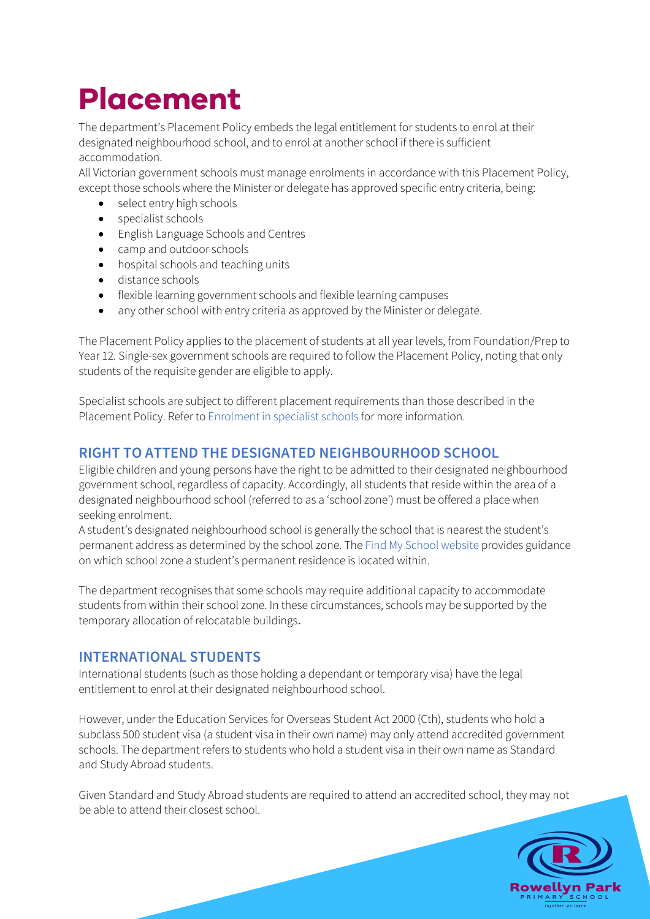# **Placement**

The department's Placement Policy embeds the legal entitlement for students to enrol at their designated neighbourhood school, and to enrol at another school if there is sufficient accommodation.

All Victorian government schools must manage enrolments in accordance with this Placement Policy, except those schools where the Minister or delegate has approved specific entry criteria, being:

- select entry high schools
- specialist schools
- English Language Schools and Centres
- camp and outdoor schools
- hospital schools and teaching units
- distance schools
- flexible learning government schools and flexible learning campuses
- any other school with entry criteria as approved by the Minister or delegate.

The Placement Policy applies to the placement of students at all year levels, from Foundation/Prep to Year 12. Single-sex government schools are required to follow the Placement Policy, noting that only students of the requisite gender are eligible to apply.

Specialist schools are subject to different placement requirements than those described in the Placement Policy. Refer to Enrolment in specialist schools for more information.

## **RIGHT TO ATTEND THE DESIGNATED NEIGHBOURHOOD SCHOOL**

Eligible children and young persons have the right to be admitted to their designated neighbourhood government school, regardless of capacity. Accordingly, all students that reside within the area of a designated neighbourhood school (referred to as a 'school zone') must be offered a place when seeking enrolment.

A student's designated neighbourhood school is generally the school that is nearest the student's permanent address as determined by the school zone. The Find My School website provides guidance on which school zone a student's permanent residence is located within.

The department recognises that some schools may require additional capacity to accommodate students from within their school zone. In these circumstances, schools may be supported by the temporary allocation of relocatable buildings.

## **INTERNATIONAL STUDENTS**

International students (such as those holding a dependant or temporary visa) have the legal entitlement to enrol at their designated neighbourhood school.

However, under the Education Services for Overseas Student Act 2000 (Cth), students who hold a subclass 500 student visa (a student visa in their own name) may only attend accredited government schools. The department refers to students who hold a student visa in their own name as Standard and Study Abroad students.

Given Standard and Study Abroad students are required to attend an accredited school, they may not be able to attend their closest school.

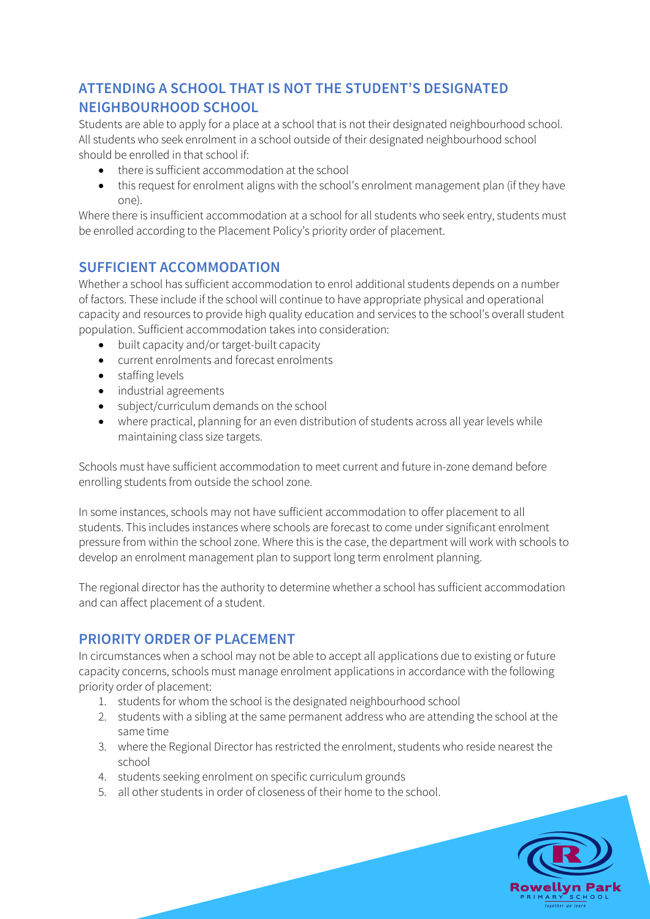# **ATTENDING A SCHOOL THAT IS NOT THE STUDENT'S DESIGNATED NEIGHBOURHOOD SCHOOL**

Students are able to apply for a place at a school that is not their designated neighbourhood school. All students who seek enrolment in a school outside of their designated neighbourhood school should be enrolled in that school if:

- there is sufficient accommodation at the school
- this request for enrolment aligns with the school's enrolment management plan (if they have one).

Where there is insufficient accommodation at a school for all students who seek entry, students must be enrolled according to the Placement Policy's priority order of placement.

# **SUFFICIENT ACCOMMODATION**

Whether a school has sufficient accommodation to enrol additional students depends on a number of factors. These include if the school will continue to have appropriate physical and operational capacity and resources to provide high quality education and services to the school's overall student population. Sufficient accommodation takes into consideration:

- built capacity and/or target-built capacity
- current enrolments and forecast enrolments
- staffing levels
- industrial agreements
- subject/curriculum demands on the school
- where practical, planning for an even distribution of students across all year levels while maintaining class size targets.

Schools must have sufficient accommodation to meet current and future in-zone demand before enrolling students from outside the school zone.

In some instances, schools may not have sufficient accommodation to offer placement to all students. This includes instances where schools are forecast to come under significant enrolment pressure from within the school zone. Where this is the case, the department will work with schools to develop an enrolment management plan to support long term enrolment planning.

The regional director has the authority to determine whether a school has sufficient accommodation and can affect placement of a student.

## **PRIORITY ORDER OF PLACEMENT**

In circumstances when a school may not be able to accept all applications due to existing or future capacity concerns, schools must manage enrolment applications in accordance with the following priority order of placement:

- 1. students for whom the school is the designated neighbourhood school
- 2. students with a sibling at the same permanent address who are attending the school at the same time
- 3. where the Regional Director has restricted the enrolment, students who reside nearest the school
- 4. students seeking enrolment on specific curriculum grounds
- 5. all other students in order of closeness of their home to the school.

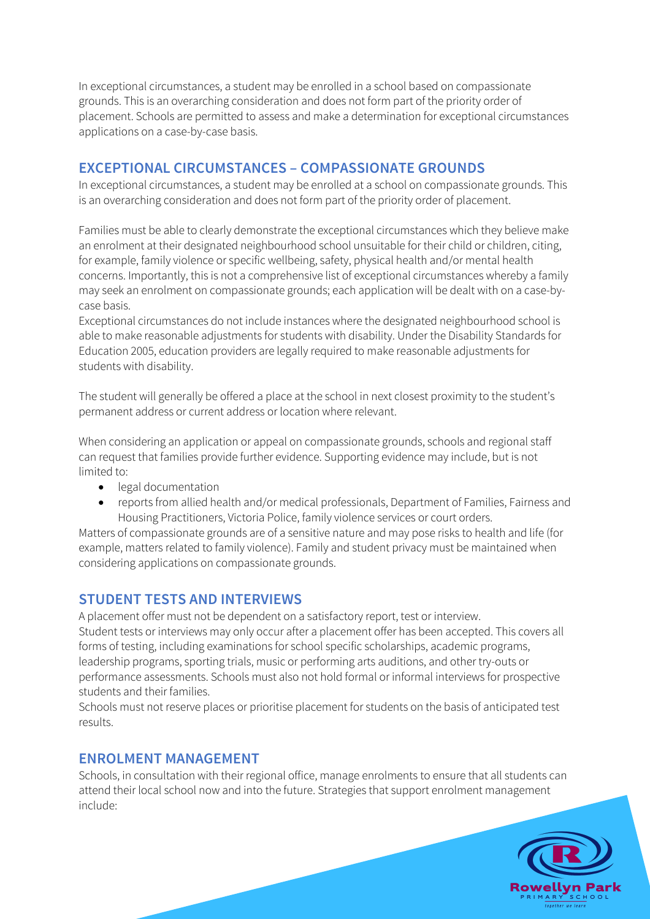In exceptional circumstances, a student may be enrolled in a school based on compassionate grounds. This is an overarching consideration and does not form part of the priority order of placement. Schools are permitted to assess and make a determination for exceptional circumstances applications on a case-by-case basis.

### **EXCEPTIONAL CIRCUMSTANCES – COMPASSIONATE GROUNDS**

In exceptional circumstances, a student may be enrolled at a school on compassionate grounds. This is an overarching consideration and does not form part of the priority order of placement.

Families must be able to clearly demonstrate the exceptional circumstances which they believe make an enrolment at their designated neighbourhood school unsuitable for their child or children, citing, for example, family violence or specific wellbeing, safety, physical health and/or mental health concerns. Importantly, this is not a comprehensive list of exceptional circumstances whereby a family may seek an enrolment on compassionate grounds; each application will be dealt with on a case-bycase basis.

Exceptional circumstances do not include instances where the designated neighbourhood school is able to make reasonable adjustments for students with disability. Under the Disability Standards for Education 2005, education providers are legally required to make reasonable adjustments for students with disability.

The student will generally be offered a place at the school in next closest proximity to the student's permanent address or current address or location where relevant.

When considering an application or appeal on compassionate grounds, schools and regional staff can request that families provide further evidence. Supporting evidence may include, but is not limited to:

- legal documentation
- reports from allied health and/or medical professionals, Department of Families, Fairness and Housing Practitioners, Victoria Police, family violence services or court orders.

Matters of compassionate grounds are of a sensitive nature and may pose risks to health and life (for example, matters related to family violence). Family and student privacy must be maintained when considering applications on compassionate grounds.

#### **STUDENT TESTS AND INTERVIEWS**

A placement offer must not be dependent on a satisfactory report, test or interview. Student tests or interviews may only occur after a placement offer has been accepted. This covers all forms of testing, including examinations for school specific scholarships, academic programs, leadership programs, sporting trials, music or performing arts auditions, and other try-outs or performance assessments. Schools must also not hold formal or informal interviews for prospective students and their families.

Schools must not reserve places or prioritise placement for students on the basis of anticipated test results.

#### **ENROLMENT MANAGEMENT**

Schools, in consultation with their regional office, manage enrolments to ensure that all students can attend their local school now and into the future. Strategies that support enrolment management include: